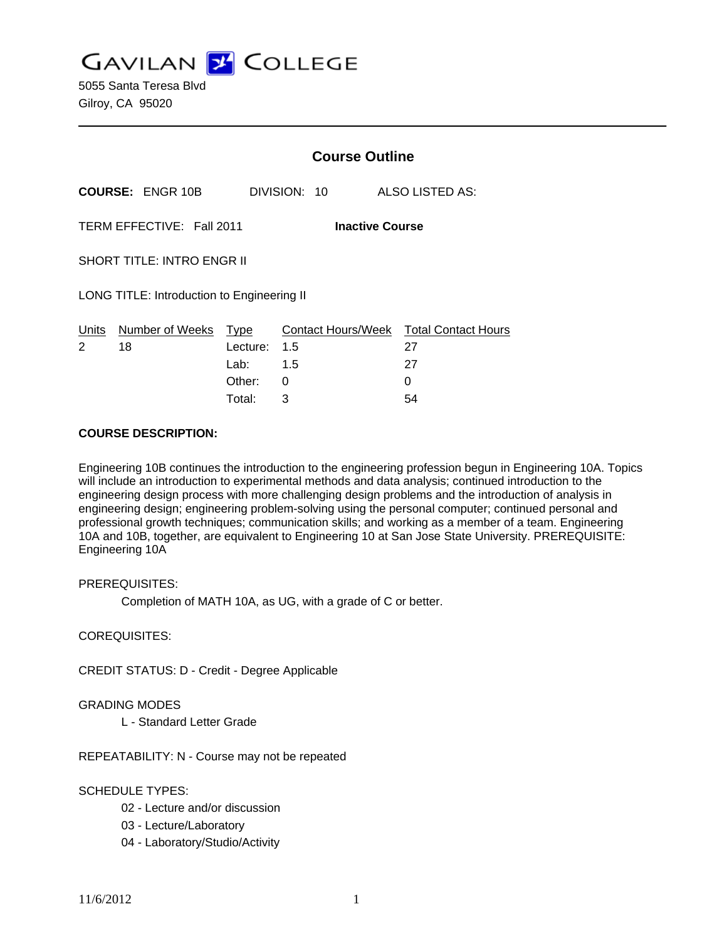**GAVILAN Z COLLEGE** 

5055 Santa Teresa Blvd Gilroy, CA 95020

|                                                     |                         | <b>Course Outline</b> |              |                                        |
|-----------------------------------------------------|-------------------------|-----------------------|--------------|----------------------------------------|
|                                                     | <b>COURSE: ENGR 10B</b> |                       | DIVISION: 10 | ALSO LISTED AS:                        |
| TERM EFFECTIVE: Fall 2011<br><b>Inactive Course</b> |                         |                       |              |                                        |
| <b>SHORT TITLE: INTRO ENGR II</b>                   |                         |                       |              |                                        |
| LONG TITLE: Introduction to Engineering II          |                         |                       |              |                                        |
| <u>Un</u> its                                       | Number of Weeks Type    |                       |              | Contact Hours/Week Total Contact Hours |
| 2                                                   | 18                      | Lecture:              | 1.5          | 27                                     |
|                                                     |                         | Lab: __               | 1.5          | 27                                     |
|                                                     |                         | Other:                | 0            | 0                                      |

Total: 3 54

### **COURSE DESCRIPTION:**

Engineering 10B continues the introduction to the engineering profession begun in Engineering 10A. Topics will include an introduction to experimental methods and data analysis; continued introduction to the engineering design process with more challenging design problems and the introduction of analysis in engineering design; engineering problem-solving using the personal computer; continued personal and professional growth techniques; communication skills; and working as a member of a team. Engineering 10A and 10B, together, are equivalent to Engineering 10 at San Jose State University. PREREQUISITE: Engineering 10A

#### PREREQUISITES:

Completion of MATH 10A, as UG, with a grade of C or better.

### COREQUISITES:

CREDIT STATUS: D - Credit - Degree Applicable

#### GRADING MODES

L - Standard Letter Grade

REPEATABILITY: N - Course may not be repeated

## SCHEDULE TYPES:

- 02 Lecture and/or discussion
- 03 Lecture/Laboratory
- 04 Laboratory/Studio/Activity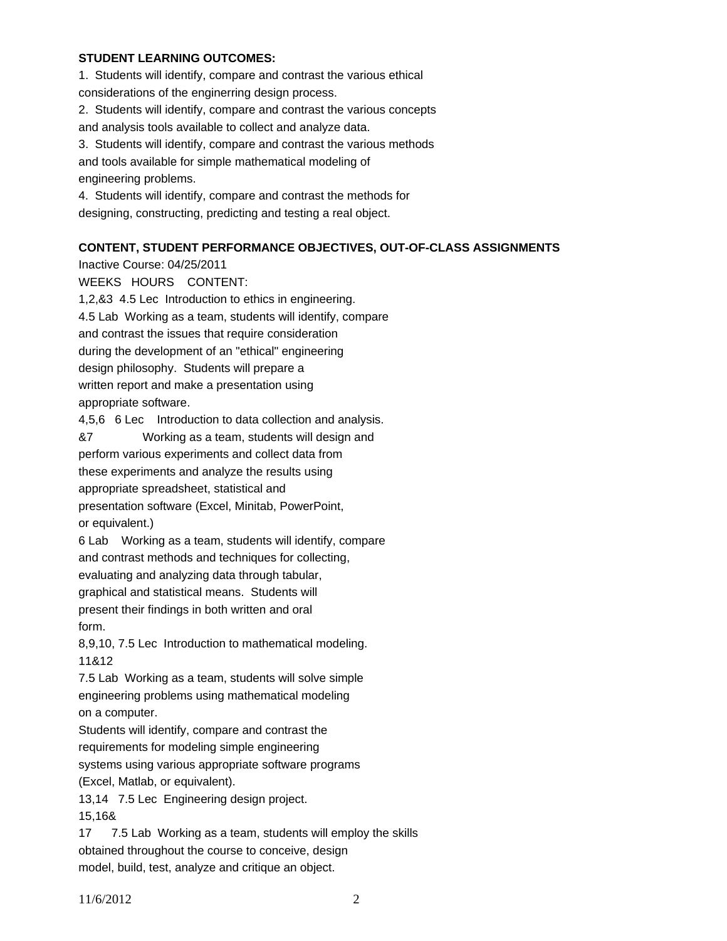# **STUDENT LEARNING OUTCOMES:**

1. Students will identify, compare and contrast the various ethical considerations of the enginerring design process. 2. Students will identify, compare and contrast the various concepts

and analysis tools available to collect and analyze data.

3. Students will identify, compare and contrast the various methods and tools available for simple mathematical modeling of engineering problems.

4. Students will identify, compare and contrast the methods for designing, constructing, predicting and testing a real object.

## **CONTENT, STUDENT PERFORMANCE OBJECTIVES, OUT-OF-CLASS ASSIGNMENTS**

Inactive Course: 04/25/2011 WEEKS HOURS CONTENT: 1,2,&3 4.5 Lec Introduction to ethics in engineering. 4.5 Lab Working as a team, students will identify, compare and contrast the issues that require consideration during the development of an "ethical" engineering design philosophy. Students will prepare a written report and make a presentation using appropriate software. 4,5,6 6 Lec Introduction to data collection and analysis. &7 Working as a team, students will design and perform various experiments and collect data from these experiments and analyze the results using appropriate spreadsheet, statistical and presentation software (Excel, Minitab, PowerPoint, or equivalent.) 6 Lab Working as a team, students will identify, compare and contrast methods and techniques for collecting, evaluating and analyzing data through tabular, graphical and statistical means. Students will present their findings in both written and oral form. 8,9,10, 7.5 Lec Introduction to mathematical modeling. 11&12 7.5 Lab Working as a team, students will solve simple engineering problems using mathematical modeling

on a computer.

Students will identify, compare and contrast the

requirements for modeling simple engineering

systems using various appropriate software programs (Excel, Matlab, or equivalent).

13,14 7.5 Lec Engineering design project. 15,16&

17 7.5 Lab Working as a team, students will employ the skills obtained throughout the course to conceive, design model, build, test, analyze and critique an object.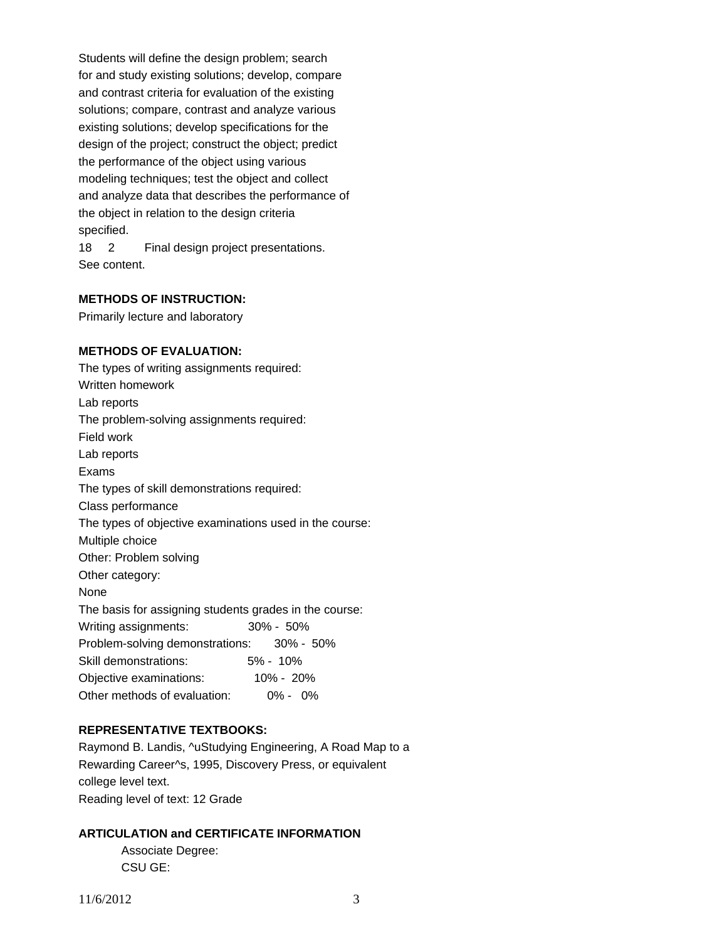Students will define the design problem; search for and study existing solutions; develop, compare and contrast criteria for evaluation of the existing solutions; compare, contrast and analyze various existing solutions; develop specifications for the design of the project; construct the object; predict the performance of the object using various modeling techniques; test the object and collect and analyze data that describes the performance of the object in relation to the design criteria specified.

18 2 Final design project presentations. See content.

### **METHODS OF INSTRUCTION:**

Primarily lecture and laboratory

### **METHODS OF EVALUATION:**

The types of writing assignments required: Written homework Lab reports The problem-solving assignments required: Field work Lab reports Exams The types of skill demonstrations required: Class performance The types of objective examinations used in the course: Multiple choice Other: Problem solving Other category: None The basis for assigning students grades in the course: Writing assignments: 30% - 50% Problem-solving demonstrations: 30% - 50% Skill demonstrations: 5% - 10% Objective examinations: 10% - 20% Other methods of evaluation: 0% - 0%

# **REPRESENTATIVE TEXTBOOKS:**

Raymond B. Landis, ^uStudying Engineering, A Road Map to a Rewarding Career^s, 1995, Discovery Press, or equivalent college level text. Reading level of text: 12 Grade

### **ARTICULATION and CERTIFICATE INFORMATION**

 Associate Degree: CSU GE: